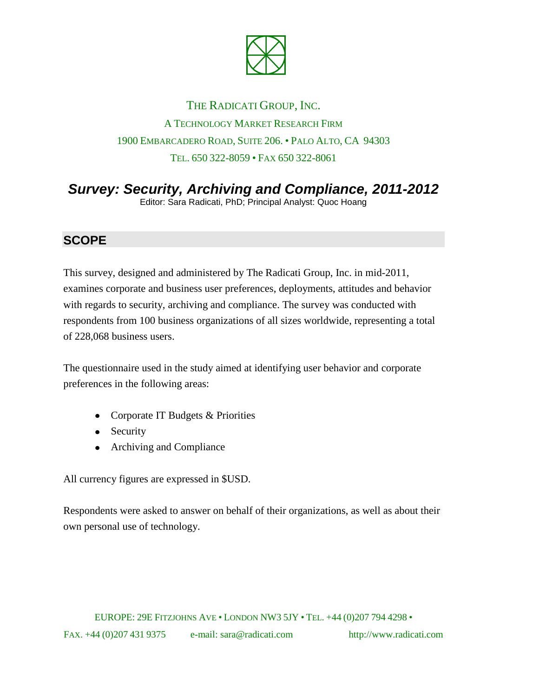

# THE RADICATI GROUP, INC. A TECHNOLOGY MARKET RESEARCH FIRM 1900 EMBARCADERO ROAD, SUITE 206. • PALO ALTO, CA 94303 TEL. 650 322-8059 • FAX 650 322-8061

# *Survey: Security, Archiving and Compliance, 2011-2012*

Editor: Sara Radicati, PhD; Principal Analyst: Quoc Hoang

### **SCOPE**

This survey, designed and administered by The Radicati Group, Inc. in mid-2011, examines corporate and business user preferences, deployments, attitudes and behavior with regards to security, archiving and compliance. The survey was conducted with respondents from 100 business organizations of all sizes worldwide, representing a total of 228,068 business users.

The questionnaire used in the study aimed at identifying user behavior and corporate preferences in the following areas:

- Corporate IT Budgets & Priorities
- Security
- Archiving and Compliance

All currency figures are expressed in \$USD.

Respondents were asked to answer on behalf of their organizations, as well as about their own personal use of technology.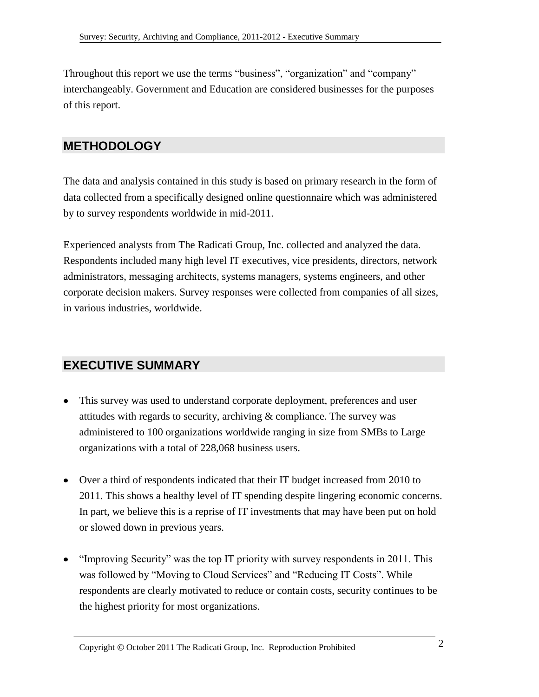Throughout this report we use the terms "business", "organization" and "company" interchangeably. Government and Education are considered businesses for the purposes of this report.

### **METHODOLOGY**

The data and analysis contained in this study is based on primary research in the form of data collected from a specifically designed online questionnaire which was administered by to survey respondents worldwide in mid-2011.

Experienced analysts from The Radicati Group, Inc. collected and analyzed the data. Respondents included many high level IT executives, vice presidents, directors, network administrators, messaging architects, systems managers, systems engineers, and other corporate decision makers. Survey responses were collected from companies of all sizes, in various industries, worldwide.

## **EXECUTIVE SUMMARY**

- This survey was used to understand corporate deployment, preferences and user attitudes with regards to security, archiving  $&$  compliance. The survey was administered to 100 organizations worldwide ranging in size from SMBs to Large organizations with a total of 228,068 business users.
- Over a third of respondents indicated that their IT budget increased from 2010 to 2011. This shows a healthy level of IT spending despite lingering economic concerns. In part, we believe this is a reprise of IT investments that may have been put on hold or slowed down in previous years.
- "Improving Security" was the top IT priority with survey respondents in 2011. This was followed by "Moving to Cloud Services" and "Reducing IT Costs". While respondents are clearly motivated to reduce or contain costs, security continues to be the highest priority for most organizations.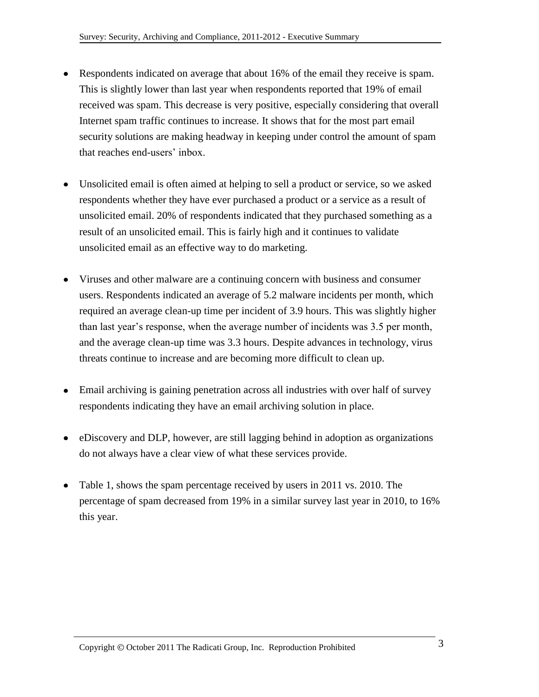- Respondents indicated on average that about 16% of the email they receive is spam. This is slightly lower than last year when respondents reported that 19% of email received was spam. This decrease is very positive, especially considering that overall Internet spam traffic continues to increase. It shows that for the most part email security solutions are making headway in keeping under control the amount of spam that reaches end-users' inbox.
- Unsolicited email is often aimed at helping to sell a product or service, so we asked respondents whether they have ever purchased a product or a service as a result of unsolicited email. 20% of respondents indicated that they purchased something as a result of an unsolicited email. This is fairly high and it continues to validate unsolicited email as an effective way to do marketing.
- Viruses and other malware are a continuing concern with business and consumer users. Respondents indicated an average of 5.2 malware incidents per month, which required an average clean-up time per incident of 3.9 hours. This was slightly higher than last year's response, when the average number of incidents was 3.5 per month, and the average clean-up time was 3.3 hours. Despite advances in technology, virus threats continue to increase and are becoming more difficult to clean up.
- Email archiving is gaining penetration across all industries with over half of survey respondents indicating they have an email archiving solution in place.
- eDiscovery and DLP, however, are still lagging behind in adoption as organizations do not always have a clear view of what these services provide.
- Table 1, shows the spam percentage received by users in 2011 vs. 2010. The percentage of spam decreased from 19% in a similar survey last year in 2010, to 16% this year.